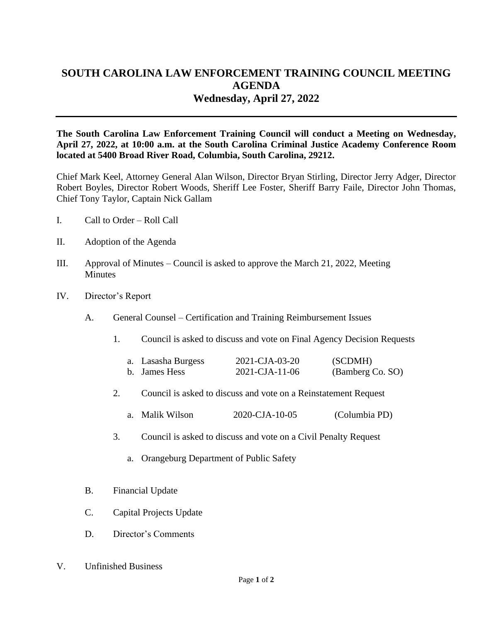## **SOUTH CAROLINA LAW ENFORCEMENT TRAINING COUNCIL MEETING AGENDA Wednesday, April 27, 2022**

**The South Carolina Law Enforcement Training Council will conduct a Meeting on Wednesday, April 27, 2022, at 10:00 a.m. at the South Carolina Criminal Justice Academy Conference Room located at 5400 Broad River Road, Columbia, South Carolina, 29212.** 

Chief Mark Keel, Attorney General Alan Wilson, Director Bryan Stirling, Director Jerry Adger, Director Robert Boyles, Director Robert Woods, Sheriff Lee Foster, Sheriff Barry Faile, Director John Thomas, Chief Tony Taylor, Captain Nick Gallam

- I. Call to Order Roll Call
- II. Adoption of the Agenda
- III. Approval of Minutes Council is asked to approve the March 21, 2022, Meeting **Minutes**
- IV. Director's Report
	- A. General Counsel Certification and Training Reimbursement Issues
		- 1. Council is asked to discuss and vote on Final Agency Decision Requests

| a. Lasasha Burgess | 2021-CJA-03-20         | (SCDMH)          |
|--------------------|------------------------|------------------|
| b. James Hess      | $2021 - CJA - 11 - 06$ | (Bamberg Co. SO) |

- 2. Council is asked to discuss and vote on a Reinstatement Request
	- a. Malik Wilson 2020-CJA-10-05 (Columbia PD)
- 3. Council is asked to discuss and vote on a Civil Penalty Request
	- a. Orangeburg Department of Public Safety
- B. Financial Update
- C. Capital Projects Update
- D. Director's Comments
- V. Unfinished Business